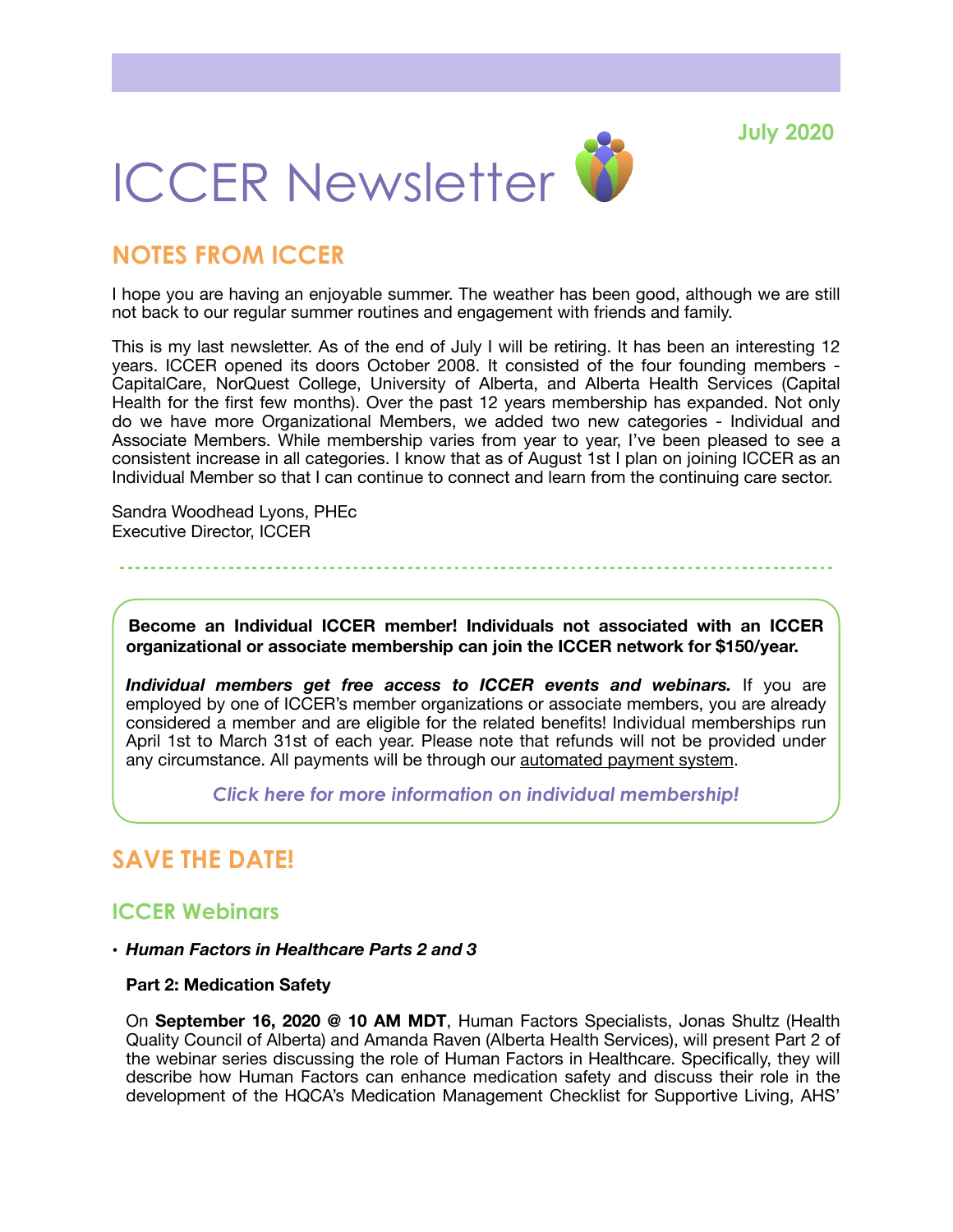**July 2020**



# **NOTES FROM ICCER**

I hope you are having an enjoyable summer. The weather has been good, although we are still not back to our regular summer routines and engagement with friends and family.

This is my last newsletter. As of the end of July I will be retiring. It has been an interesting 12 years. ICCER opened its doors October 2008. It consisted of the four founding members - CapitalCare, NorQuest College, University of Alberta, and Alberta Health Services (Capital Health for the first few months). Over the past 12 years membership has expanded. Not only do we have more Organizational Members, we added two new categories - Individual and Associate Members. While membership varies from year to year, I've been pleased to see a consistent increase in all categories. I know that as of August 1st I plan on joining ICCER as an Individual Member so that I can continue to connect and learn from the continuing care sector.

Sandra Woodhead Lyons, PHEc Executive Director, ICCER

**Become an Individual ICCER member! Individuals not associated with an ICCER organizational or associate membership can join the ICCER network for \$150/year.** 

*Individual members get free access to ICCER events and webinars.* If you are employed by one of ICCER's member organizations or associate members, you are already considered a member and are eligible for the related benefits! Individual memberships run April 1st to March 31st of each year. Please note that refunds will not be provided under any circumstance. All payments will be through our [automated payment system.](https://payment.augustana.ualberta.ca/store/Rehab+Medicine+-+ICCER+Store/)

*[Click here for more information on individual membership!](http://iccer.ca/im.html)* 

# **SAVE THE DATE!**

### **ICCER Webinars**

### • *Human Factors in Healthcare Parts 2 and 3*

### **Part 2: Medication Safety**

On **September 16, 2020 @ 10 AM MDT**, Human Factors Specialists, Jonas Shultz (Health Quality Council of Alberta) and Amanda Raven (Alberta Health Services), will present Part 2 of the webinar series discussing the role of Human Factors in Healthcare. Specifically, they will describe how Human Factors can enhance medication safety and discuss their role in the development of the HQCA's Medication Management Checklist for Supportive Living, AHS'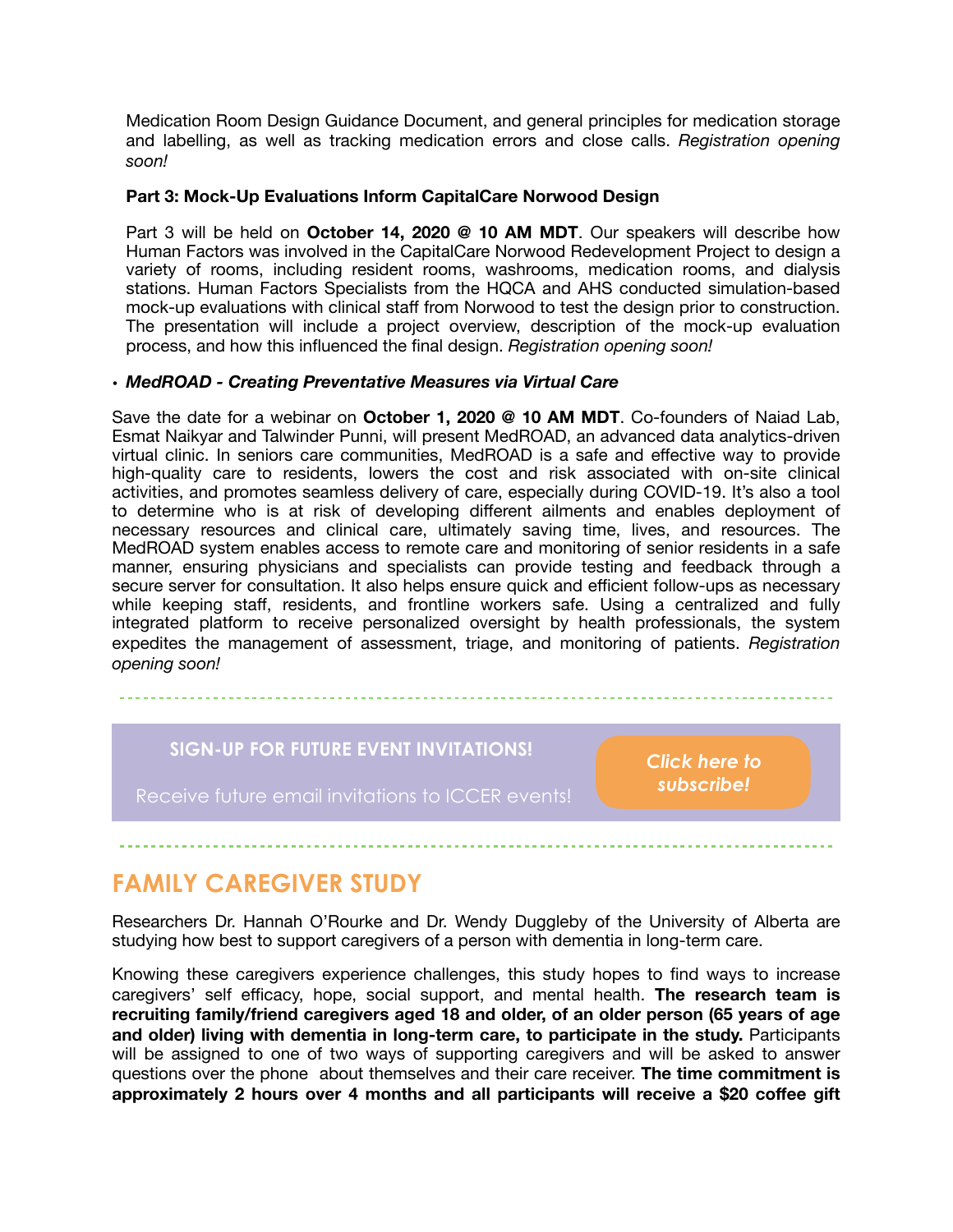Medication Room Design Guidance Document, and general principles for medication storage and labelling, as well as tracking medication errors and close calls. *Registration opening soon!* 

### **Part 3: Mock-Up Evaluations Inform CapitalCare Norwood Design**

Part 3 will be held on **October 14, 2020 @ 10 AM MDT**. Our speakers will describe how Human Factors was involved in the CapitalCare Norwood Redevelopment Project to design a variety of rooms, including resident rooms, washrooms, medication rooms, and dialysis stations. Human Factors Specialists from the HQCA and AHS conducted simulation-based mock-up evaluations with clinical staff from Norwood to test the design prior to construction. The presentation will include a project overview, description of the mock-up evaluation process, and how this influenced the final design. *Registration opening soon!* 

### **•** *MedROAD - Creating Preventative Measures via Virtual Care*

Save the date for a webinar on **October 1, 2020 @ 10 AM MDT**. Co-founders of Naiad Lab, Esmat Naikyar and Talwinder Punni, will present MedROAD, an advanced data analytics-driven virtual clinic. In seniors care communities, MedROAD is a safe and effective way to provide high-quality care to residents, lowers the cost and risk associated with on-site clinical activities, and promotes seamless delivery of care, especially during COVID-19. It's also a tool to determine who is at risk of developing different ailments and enables deployment of necessary resources and clinical care, ultimately saving time, lives, and resources. The MedROAD system enables access to remote care and monitoring of senior residents in a safe manner, ensuring physicians and specialists can provide testing and feedback through a secure server for consultation. It also helps ensure quick and efficient follow-ups as necessary while keeping staff, residents, and frontline workers safe. Using a centralized and fully integrated platform to receive personalized oversight by health professionals, the system expedites the management of assessment, triage, and monitoring of patients. *Registration opening soon!*

### **SIGN-UP FOR FUTURE EVENT INVITATIONS!**

*[Click here to](https://visitor.r20.constantcontact.com/d.jsp?llr=hnncpkfab&p=oi&m=hnncpkfab&sit=xi9oo76fb&f=5c00edb3-0b93-44a2-ae93-366821a9ae87)  [subscribe!](https://visitor.r20.constantcontact.com/d.jsp?llr=hnncpkfab&p=oi&m=hnncpkfab&sit=xi9oo76fb&f=5c00edb3-0b93-44a2-ae93-366821a9ae87)*

Receive future email invitations to ICCER events!

# **FAMILY CAREGIVER STUDY**

Researchers Dr. Hannah O'Rourke and Dr. Wendy Duggleby of the University of Alberta are studying how best to support caregivers of a person with dementia in long-term care.

Knowing these caregivers experience challenges, this study hopes to find ways to increase caregivers' self efficacy, hope, social support, and mental health. **The research team is recruiting family/friend caregivers aged 18 and older, of an older person (65 years of age and older) living with dementia in long-term care, to participate in the study.** Participants will be assigned to one of two ways of supporting caregivers and will be asked to answer questions over the phone about themselves and their care receiver. **The time commitment is approximately 2 hours over 4 months and all participants will receive a \$20 coffee gift**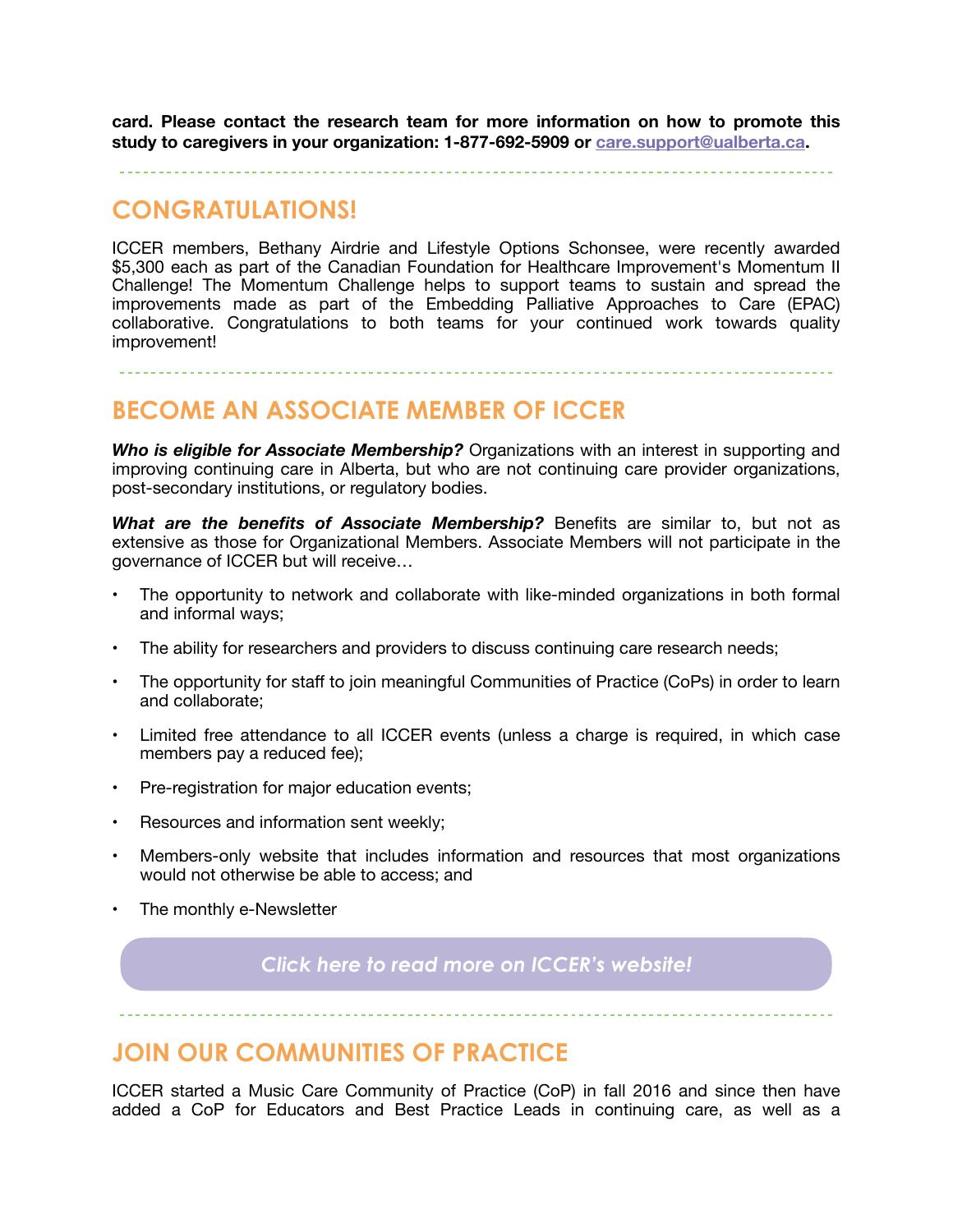**card. Please contact the research team for more information on how to promote this study to caregivers in your organization: 1-877-692-5909 or [care.support@ualberta.ca.](mailto:care.support@ualberta.ca)**

# **CONGRATULATIONS!**

ICCER members, Bethany Airdrie and Lifestyle Options Schonsee, were recently awarded \$5,300 each as part of the Canadian Foundation for Healthcare Improvement's Momentum II Challenge! The Momentum Challenge helps to support teams to sustain and spread the improvements made as part of the Embedding Palliative Approaches to Care (EPAC) collaborative. Congratulations to both teams for your continued work towards quality improvement!

## **BECOME AN ASSOCIATE MEMBER OF ICCER**

*Who is eligible for Associate Membership?* Organizations with an interest in supporting and improving continuing care in Alberta, but who are not continuing care provider organizations, post-secondary institutions, or regulatory bodies.

*What are the benefits of Associate Membership?* Benefits are similar to, but not as extensive as those for Organizational Members. Associate Members will not participate in the governance of ICCER but will receive…

- The opportunity to network and collaborate with like-minded organizations in both formal and informal ways;
- The ability for researchers and providers to discuss continuing care research needs;
- The opportunity for staff to join meaningful Communities of Practice (CoPs) in order to learn and collaborate;
- Limited free attendance to all ICCER events (unless a charge is required, in which case members pay a reduced fee);
- Pre-registration for major education events;
- Resources and information sent weekly;
- Members-only website that includes information and resources that most organizations would not otherwise be able to access; and
- The monthly e-Newsletter

*[Click here to read more on ICCER's website!](http://iccer.ca/am.html)*

## **JOIN OUR COMMUNITIES OF PRACTICE**

ICCER started a Music Care Community of Practice (CoP) in fall 2016 and since then have added a CoP for Educators and Best Practice Leads in continuing care, as well as a